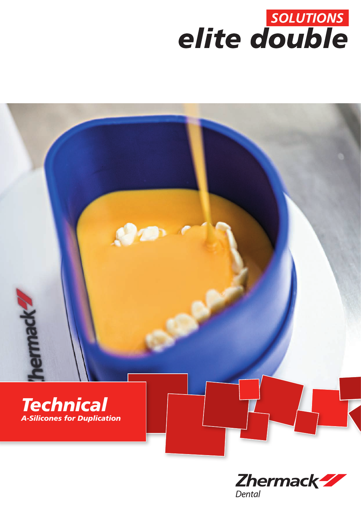



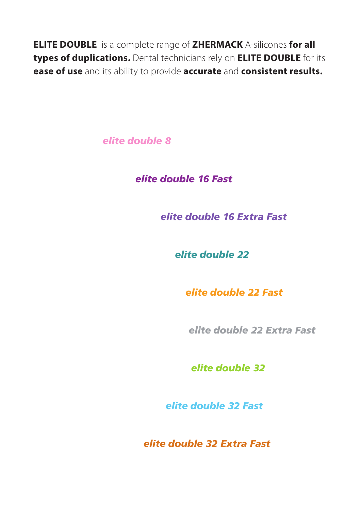**ELITE DOUBLE** is a complete range of **ZHERMACK** A-silicones **for all types of duplications.** Dental technicians rely on **ELITE DOUBLE** for its **ease of use** and its ability to provide **accurate** and **consistent results.** 

*elite double 8*

*elite double 16 Fast*

*elite double 16 Extra Fast*

*elite double 22*

*elite double 22 Fast*

*elite double 22 Extra Fast*

*elite double 32*

*elite double 32 Fast*

*elite double 32 Extra Fast*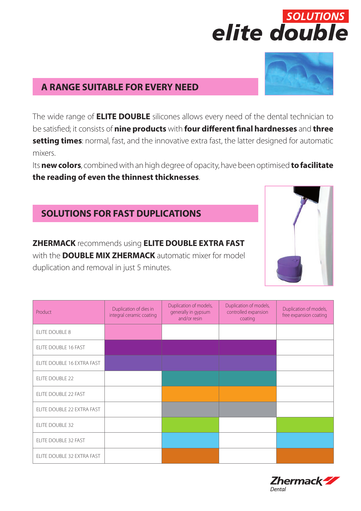### SOLUTIONS elite double

#### **A RANGE SUITABLE FOR EVERY NEED**

The wide range of **ELITE DOUBLE** silicones allows every need of the dental technician to be satisfied; it consists of **nine products** with **four different final hardnesses** and **three setting times**: normal, fast, and the innovative extra fast, the latter designed for automatic mixers.

Its **new colors**, combined with an high degree of opacity, have been optimised **to facilitate the reading of even the thinnest thicknesses**.

#### **SOLUTIONS FOR FAST DUPLICATIONS**

**ZHERMACK** recommends using **ELITE DOUBLE EXTRA FAST** with the **DOUBLE MIX ZHERMACK** automatic mixer for model duplication and removal in just 5 minutes.

| Product                    | Duplication of dies in<br>integral ceramic coating | Duplication of models,<br>generally in gypsum<br>and/or resin | Duplication of models,<br>controlled expansion<br>coating | Duplication of models,<br>free expansion coating |
|----------------------------|----------------------------------------------------|---------------------------------------------------------------|-----------------------------------------------------------|--------------------------------------------------|
| ELITE DOUBLE 8             |                                                    |                                                               |                                                           |                                                  |
| ELITE DOUBLE 16 FAST       |                                                    |                                                               |                                                           |                                                  |
| ELITE DOUBLE 16 EXTRA FAST |                                                    |                                                               |                                                           |                                                  |
| ELITE DOUBLE 22            |                                                    |                                                               |                                                           |                                                  |
| ELITE DOUBLE 22 FAST       |                                                    |                                                               |                                                           |                                                  |
| ELITE DOUBLE 22 EXTRA FAST |                                                    |                                                               |                                                           |                                                  |
| ELITE DOUBLE 32            |                                                    |                                                               |                                                           |                                                  |
| ELITE DOUBLE 32 FAST       |                                                    |                                                               |                                                           |                                                  |
| ELITE DOUBLE 32 EXTRA FAST |                                                    |                                                               |                                                           |                                                  |





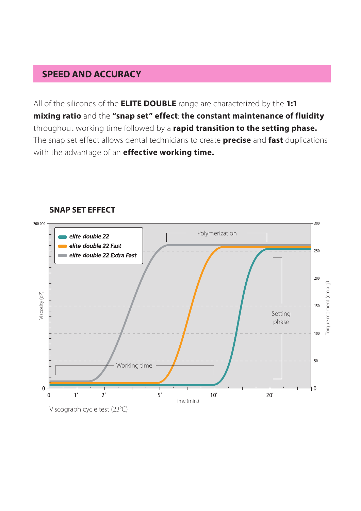#### **SPEED AND ACCURACY**

All of the silicones of the **ELITE DOUBLE** range are characterized by the **1:1 mixing ratio** and the **"snap set" effect**: **the constant maintenance of fluidity** throughout working time followed by a **rapid transition to the setting phase.**  The snap set effect allows dental technicians to create **precise** and **fast** duplications with the advantage of an **effective working time.**



#### **SNAP SET EFFECT**

Viscograph cycle test (23°C)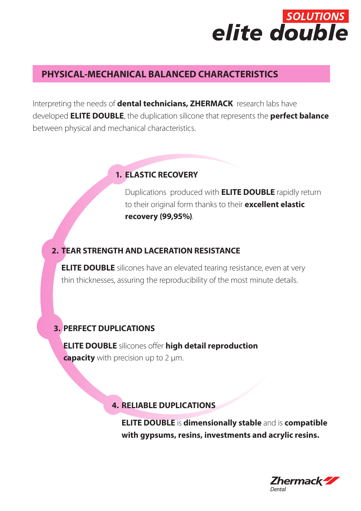# **elite double**

#### **PHYSICAL-MECHANICAL BALANCED CHARACTERISTICS**

Interpreting the needs of **dental technicians, ZHERMACK** research labs have developed **ELITE DOUBLE**, the duplication silicone that represents the **perfect balance** between physical and mechanical characteristics.

#### **1. ELASTIC RECOVERY**

Duplications produced with **ELITE DOUBLE** rapidly return to their original form thanks to their **excellent elastic recovery (99,95%)**.

#### **2. TEAR STRENGTH AND LACERATION RESISTANCE**

**ELITE DOUBLE** silicones have an elevated tearing resistance, even at very thin thicknesses, assuring the reproducibility of the most minute details.

#### **3. PERFECT DUPLICATIONS**

**ELITE DOUBLE** silicones offer **high detail reproduction capacity** with precision up to 2 µm.

#### **4. RELIABLE DUPLICATIONS**

**ELITE DOUBLE** is **dimensionally stable** and is **compatible with gypsums, resins, investments and acrylic resins.**

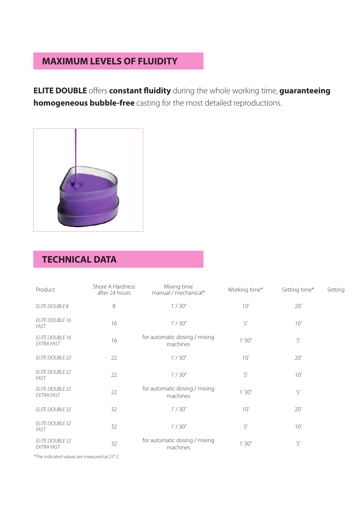#### **MAXIMUM LEVELS OF FLUIDITY**

**ELITE DOUBLE** offers **constant fluidity** during the whole working time, **guaranteeing homogeneous bubble-free** casting for the most detailed reproductions.



#### **TECHNICAL DATA**

| Product                              | Shore A Hardness<br>after 24 hours | Mixing time<br>manual / mechanical*       | Working time* | Setting time* | Setting |
|--------------------------------------|------------------------------------|-------------------------------------------|---------------|---------------|---------|
| <b>ELITE DOUBLE 8</b>                | 8                                  | 1'/30''                                   | 10'           | 20'           |         |
| <b>ELITE DOUBLE 16</b><br>FAST       | 16                                 | 1'/30''                                   | $5'$          | 10'           |         |
| <b>ELITE DOUBLE 16</b><br>EXTRA FAST | 16                                 | for automatic dosing / mixing<br>machines | 1'30''        | 5'            |         |
| <b>ELITE DOUBLE 22</b>               | 22                                 | 1'/30''                                   | 10'           | 20'           |         |
| <b>ELITE DOUBLE 22</b><br>FAST       | 22                                 | 1'/30''                                   | $5'$          | 10'           |         |
| <b>ELITE DOUBLE 22</b><br>EXTRA FAST | 22                                 | for automatic dosing / mixing<br>machines | 1'30''        | 5'            |         |
| <b>ELITE DOUBLE 32</b>               | 32                                 | 1'/30''                                   | 10'           | 20'           |         |
| <b>ELITE DOUBLE 32</b><br>FAST       | 32                                 | 1'/30''                                   | $5'$          | 10'           |         |
| <b>ELITE DOUBLE 32</b><br>EXTRA FAST | 32                                 | for automatic dosing / mixing<br>machines | 1'30''        | 5'            |         |

\*The indicated values are measured at 23° C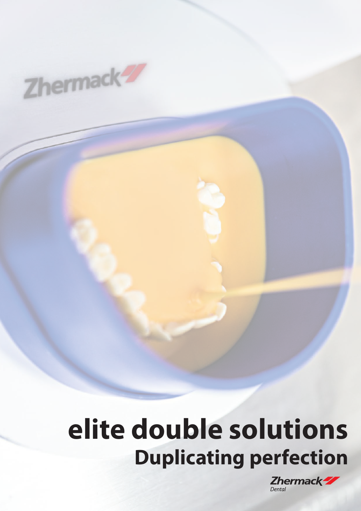

## **elite double solutions Duplicating perfection**